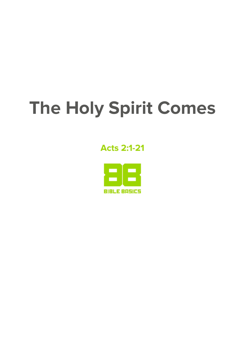# **The Holy Spirit Comes**

## **Acts 2:1-21**

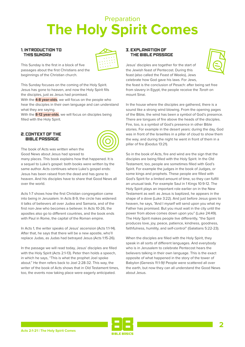## Preparation **The Holy Spirit Comes**

## 1. INTRODUCTION TO THIS SUNDAY



This Sunday is the first in a block of five passages about the first Christians and the beginnings of the Christian church.

This Sunday focuses on the coming of the Holy Spirit. Jesus has gone to heaven, and now the Holy Spirit fills the disciples, just as Jesus had promised.

With the **4-8 year-olds**, we will focus on the people who hear the disciples in their own language and can understand what they are saying.

With the **8-12 year-olds**, we will focus on disciples being filled with the Holy Spirit.

## 2. CONTEXT OF THE BIBLE PASSAGE



The book of Acts was written when the Good News about Jesus had spread to

many places. This book explains how that happened. It is a sequel to Luke's gospel: both books were written by the same author. Acts continues where Luke's gospel ends: Jesus has been raised from the dead and has gone to heaven. And his disciples have to share that Good News all over the world.

Acts 1-7 shows how the first Christian congregation came into being in Jerusalem. In Acts 8-9, the circle has widened: it talks of believers all over Judea and Samaria, and of the first non-Jew who becomes a believer. In Acts 10-26, the apostles also go to different countries, and the book ends with Paul in Rome, the capital of the Roman empire.

In Acts 1, the writer speaks of Jesus' ascension (Acts 1:1-14). After that, he says that there will be a new apostle, who'll replace Judas, as Judas had betrayed Jesus (Acts 1:15-26).

In the passage we will read today, Jesus' disciples are filled with the Holy Spirit (Acts 2:1-13). Peter then holds a speech, in which he says, "This is what the prophet Joel spoke about." He then refers back to Joel 2:28-32. This way, the writer of the book of Acts shows that in Old Testament times, too, the events now taking place were eagerly anticipated.

## 3. EXPLANATION OF THE BIBLE PASSAGE



Jesus' disciples are together for the start of the Jewish feast of Pentecost. During this feast (also called the Feast of Weeks), Jews celebrate how God gave his laws. For Jews, the feast is the conclusion of Pesach: after being set free from slavery in Egypt, the people receive the Torah on mount Sinai.

In the house where the disciples are gathered, there is a sound like a strong wind blowing. From the opening pages of the Bible, the wind has been a symbol of God's presence. There are tongues of fire above the heads of the disciples. Fire, too, is a symbol of God's presence in other Bible stories. For example in the desert years: during the day, God was in front of the Israelites in a pillar of cloud to show them the way, and during the night he went in front of them in a pillar of fire (Exodus 13:21).

So in the book of Acts, fire and wind are the sign that the disciples are being filled with the Holy Spirit. In the Old Testament, too, people are sometimes filled with God's Spirit. For example the judges in the book of Judges, or some kings and prophets. These people are filled with God's Spirit for a limited amount of time, so they can fulfill an unusual task. For example Saul in 1 Kings 10:9-12. The Holy Spirit plays an important role earlier on in the New Testament as well: as Jesus is baptized, he appears in the shape of a dove (Luke 3:22). And just before Jesus goes to heaven, he says, "And I myself will send upon you what my Father has promised. But you must wait in the city until the power from above comes down upon you" (Luke 24:49). The Holy Spirit makes people live differently, "the Spirit produces love, joy, peace, patience, kindness, goodness, faithfulness, humility, and self-control" (Galatians 5:22-23).

When the disciples are filled with the Holy Spirit, they speak in all sorts of different languages. And everybody who is in Jerusalem to celebrate Pentecost hears the believers talking in their own language. This is the exact opposite of what happened in the story of the tower of Babylon (Genesis 11:1-9)! People were scattered all over the earth, but now they can all understand the Good News about Jesus.

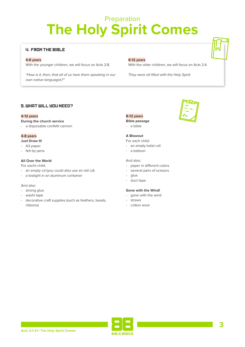## Preparation **The Holy Spirit Comes**

## 4. FROM THE BIBLE

#### **4-8 years**

With the younger children, we will focus on Acts 2:8.

"How is it, then, that all of us hear them speaking in our own native languages?"

## **8-12 years**

With the older children, we will focus on Acts 2:4.

They were all filled with the Holy Spirit.

## 5. WHAT WILL YOU NEED?

## **4-12 years**

#### **During the church service**

- a disposable confetti cannon

### **4-8 years**

### **Just Draw It!**

- A3 paper
- felt tip pens

#### **All Over the World**

For eacht child:

- an empty cd (you could also use an old cd)
- a tealight in an aluminum container

#### And also:

- strong glue
- washi tape
- decorative craft supplies (such as feathers, beads, ribbons)

## **8-12 years**

## **Bible passage**

- a bible

### **A Blowout**

For each child:

- an empty toilet roll
- a balloon

#### And also:

- paper in different colors
- several pairs of scissors
- glue
- duct tape

### **Gone with the Wind!**

- gone with the wind
- straws
- cotton wool



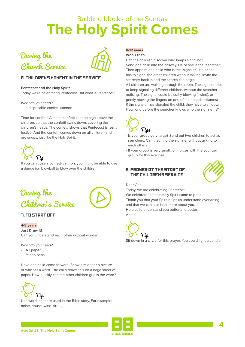



## **6. CHILDRENS MOMENT IN THE SERVICE**

#### **Pentecost and the Holy Spirit**

Today we're celebrating Pentecost. But what is Pentecost?

What do you need?

- a disposable confetti cannon

Time for confetti! Aim the confetti cannon high above the children, so that the confetti swirls down, covering the children's heads. The confetti shows that Pentecost is really festive! And the confetti comes down on all children and grownups, just like the Holy Spirit.



If you can't use a confetti cannon, you might be able to use a dandelion blowball to blow over the children!

## During the Children's Service

## 7. TO START OFF

**4-8 years Just Draw It!** Can you understand each other without words?

What do you need?

- A3 paper
- felt tip pens

Have one child come forward. Show him or her a picture or whisper a word. The child draws this on a large sheet of paper. How quickly can the other children guess the word?



Use words that are used in the Bible story. For example: noise, house, wind, fire …

## **8-12 years**

**Who's that?**

Can the children discover who keeps signaling? Send one child into the hallway. He or she is the "searcher". Then appoint one child who is the "signaler". He or she has to signal the other children without talking. Invite the searcher back in and the search can begin! All children are walking through the room. The signaler tries to keep signaling different children, without the searcher noticing. The signal could be softly blowing (=wind), or gently moving the fingers on one of their hands (=flames). If the signaler has signaled the child, they have to sit down. How long before the searcher knows who the signaler is?



- Is your group very large? Send out two children to act as searchers. Can they find the signaler without talking to each other?
- If your group is very small, join forces with the younger group for this exercise.

## 8. PRAYER AT THE START OF THE CHILDRENS SERVICE



Dear God,

Today, we are celebrating Pentecost. We celebrate that the Holy Spirit came to people. Thank you that your Spirit helps us understand everything, and that we can also hear more about you. Help us to understand you better and better. Amen.

Tip

Sit down in a circle for this prayer. You could light a candle.



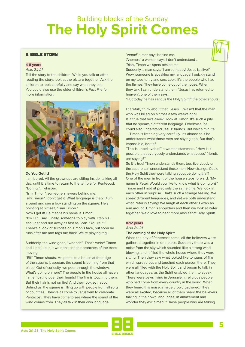## 9. BIBLE STORY

### **4-8 years**

## Acts 2:1-21

Tell the story to the children. While you talk or after reading the story, look at the picture together. Ask the children to look carefully and say what they see. You could also use the older children's Fact File for more information.



#### **Do You Get It?**

I am bored. All the grownups are sitting inside, talking all day, until it is time to return to the temple for Pentecost. "Boring!", I whisper.

"Ismi Timon", someone answers behind me. Ismi Timon? I don't get it. What language is that? I turn around and see a boy standing on the square. He's pointing at himself, "Ismi Timon."

Now I get it! He means his name is Timon! "I'm Eli", I say. Finally, someone to play with. I tap his shoulder and run away as fast as I can. "You're it!" There's a look of surprise on Timon's face, but soon he runs after me and tags me back. We're playing tag!

Suddenly, the wind goes, "whoosh!" That's weird! Timon and I look up, but we don't see the branches of the trees moving.

"Eli!" Timon shouts. He points to a house at the edge of the square. It appears the sound is coming from that place! Out of curiosity, we peer through the window. What's going on here? The people in the house all have a flame floating over their heads! The fire is touching them. But their hair is not on fire! And they look so happy! Behind us, the square is filling up with people from all sorts of countries. They've all come to Jerusalem to celebrate Pentecost. They have come to see where the sound of the wind comes from. They all talk in their own language.

'Vento!' a man says behind me.

'Anemos!' a woman says. I don't understand … 'Riah', Timon whispers beside me.

Suddenly, a man says, "I am so happy! Jesus is alive!" Wow, someone is speaking my language! I quickly stand on my toes to try and see. Look. It's the people who had the flames! They have come out of the house. When they talk, I can understand them. "Jesus has returned to heaven", one of them says.

"But today he has sent us the Holy Spirit!" the other shouts.

I carefully think about that. Jesus … Wasn't that the man who was killed on a cross a few weeks ago? Is it true that he's alive? I look at Timon. It's such a pity that he speaks a different language. Otherwise, he could also understand Jesus' friends. But wait a minute … Timon is listening very carefully. It's almost as if he understands what those men are saying, too! But that's impossible, isn't it?

"This is unbelievable!" a women stammers. "How is it possible that everybody understands what Jesus' friends are saying?"

So it is true! Timon understands them, too. Everybody on the square can understand those men. How strange. Could the Holy Spirit they were talking about be doing that? One of the men in front of the house steps forward. "My name is Peter. Would you like to know what is going on?" Timon and I nod at precisely the same time. We look at each other in surprise. That's such a strange feeling. We speak different languages, and yet we both understand what Peter is saying! We laugh at each other. I wrap an arm around Timon's shoulders and then we look at Peter together. We'd love to hear more about that Holy Spirit!

#### **8-12 years**

Acts 2:1-21

#### **The coming of the Holy Spirit**

When the day of Pentecost came, all the believers were gathered together in one place. Suddenly there was a noise from the sky which sounded like a strong wind blowing, and it filled the whole house where they were sitting. Then they saw what looked like tongues of fire which spread out and touched each person there. They were all filled with the Holy Spirit and began to talk in other languages, as the Spirit enabled them to speak. There were Jews living in Jerusalem, religious people who had come from every country in the world. When they heard this noise, a large crowd gathered. They were all excited, because all of them heard the believers talking in their own languages. In amazement and wonder they exclaimed, "These people who are talking

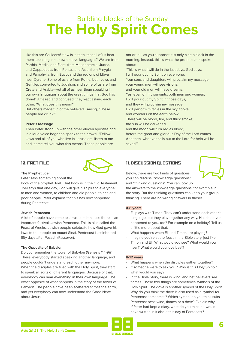like this are Galileans! How is it, then, that all of us hear them speaking in our own native languages? We are from Parthia, Media, and Elam; from Mesopotamia, Judea, and Cappadocia; from Pontus and Asia, from Phrygia and Pamphylia, from Egypt and the regions of Libya near Cyrene. Some of us are from Rome, both Jews and Gentiles converted to Judaism, and some of us are from Crete and Arabia—yet all of us hear them speaking in our own languages about the great things that God has done!" Amazed and confused, they kept asking each other, "What does this mean?"

But others made fun of the believers, saying, "These people are drunk!"

#### **Peter's Message**

Then Peter stood up with the other eleven apostles and in a loud voice began to speak to the crowd: "Fellow Jews and all of you who live in Jerusalem, listen to me and let me tell you what this means. These people are

## 10. FACT FILE



## **The Prophet Joel**

Peter says something about the

book of the prophet Joel. That book is in the Old Testament. Joel says that one day, God will give his Spirit to everyone: to men and women, to children and old people, to rich and poor people. Peter explains that his has now happened during Pentecost.

#### **Jewish Pentecost**

A lot of people have come to Jerusalem because there is an important festival: Jewish Pentecost. This is also called the Feast of Weeks. Jewish people celebrate how God gave his laws to the people on mount Sinai. Pentecost is celebrated fifty days after Pesach (Passover).

#### **The Opposite of Babylon**

Do you remember the tower of Babylon (Genesis 11:1-9)? There, everybody started speaking another language, and people couldn't understand each other anymore. When the disciples are filled with the Holy Spirit, they start to speak all sorts of different languages. Because of that, everybody can hear everything in their own language. The exact opposite of what happens in the story of the tower of Babylon. The people have been scattered across the earth, and yet everybody can now understand the Good News about Jesus.

not drunk, as you suppose; it is only nine o'clock in the morning. Instead, this is what the prophet Joel spoke about:

'This is what I will do in the last days, God says: I will pour out my Spirit on everyone. Your sons and daughters will proclaim my message; your young men will see visions, and your old men will have dreams. Yes, even on my servants, both men and women, I will pour out my Spirit in those days, and they will proclaim my message. I will perform miracles in the sky above and wonders on the earth below. There will be blood, fire, and thick smoke; the sun will be darkened, and the moon will turn red as blood, before the great and glorious Day of the Lord comes. And then, whoever calls out to the Lord for help will be saved.'"

## 11. DISCUSSION QUESTIONS



Below, there are two kinds of questions you can discuss: "knowledge questions" and "thinking questions". You can look up

the answers to the knowledge questions, for example in the story. But the thinking questions can keep your group thinking. There are no wrong answers in those!

#### **4-8 years**

- Eli plays with Timon. They can't understand each other's language, but they play together any way. Has that ever happened to you, too? For example on a holiday? Tell us a little more about that.
- What happens when Eli and Timon are playing?
- Imagine you're at the feast in the Bible story, just like Timon and Eli. What would you see? What would you hear? What would you love best?

#### **8-12 years**

- What happens when the disciples gather together?
- If someone were to ask you, "Who is this Holy Spirit?", what would you say?
- In the Bible Story, there is wind, and het believers see flames. Those two things are sometimes symbols of the Holy Spirit. The dove is another symbol of the Holy Spirit. Why do you think the dove is also used as a symbol for Pentecost sometimes? Which symbol do you think suits Pentecost best: wind, flames or a dove? Explain why.
- If Peter had kept a diary, what do you think he would have written in it about this day of Pentecost?

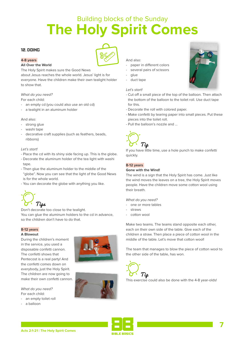## 12. DOING

## **4-8 years**

### **All Over the World**



about Jesus reaches the whole world. Jesus' light is for everyone. Have the children make their own tealight holder to show that.

## What do you need?

For each child:

- an empty cd (you could also use an old cd)
- a tealight in an aluminum holder

#### And also:

- strong glue
- washi tape
- decorative craft supplies (such as feathers, beads, ribbons)

#### Let's start!

- Place the cd with its shiny side facing up. This is the globe.
- Decorate the aluminum holder of the tea light with washi tape.
- Then glue the aluminum holder to the middle of the "globe". Now you can see that the light of the Good News is for the whole world.
- You can decorate the globe with anything you like.



Don't decorate too close to the tealight. You can glue the aluminum holders to the cd in advance, so the children don't have to do that.

## **8-12 years**

#### **A Blowout**

During the children's moment in the service, you used a disposable confetti cannon. The confetti shows that Pentecost is a real party! And the confetti comes down on everybody, just the Holy Spirit. The children are now going to make their own confetti cannon.

What do you need? For each child:

- an empty toilet roll
- a balloon





### And also:

- paper in different colors
- several pairs of scissors
- glue
- duct tape

## Let's start!

- Cut off a small piece of the top of the balloon. Then attach the bottom of the balloon to the toilet roll. Use duct tape for this.
- Decorate the roll with colored paper.
- Make confetti by tearing paper into small pieces. Put these pieces into the toilet roll.
- Pull the balloon's nozzle and …



If you have little time, use a hole punch to make confetti quickly.

## **8-12 years**

#### **Gone with the Wind!**

The wind is a sign that the Holy Spirit has come. Just like the wind moves the leaves on a tree, the Holy Spirit moves people. Have the children move some cotton wool using their breath.

What do you need?

- one or more tables
- straws
- cotton wool

Make two teams. The teams stand opposite each other, each on their own side of the table. Give each of the children a straw. Then place a piece of cotton wool in the middle of the table. Let's move that cotton wool!

The team that manages to blow the piece of cotton wool to the other side of the table, has won.



This exercise could also be done with the 4-8 year-olds!





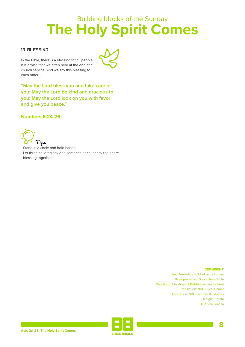## 13. BLESSING



In the Bible, there is a blessing for all people. It is a wish that we often hear at the end of a church service. And we say this blessing to each other:

**"May the Lord bless you and take care of you; May the Lord be kind and gracious to you; May the Lord look on you with favor and give you peace."**

## **Numbers 6:24-26**



- Stand in a circle and hold hands.

- Let three children say one sentence each, or say the entire blessing together.

#### **COPYRIGHT**

Text: Nederlands Bijbelgenootschap Bible passages: Good News Bible Retelling Bible story: NBG/Melanie van de Peut Translation: NBG/Erica Kramer Illustration: NBG/De Boer Illustraties Design: Frivista DTP: Vila Grafica

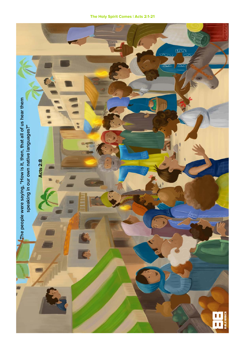